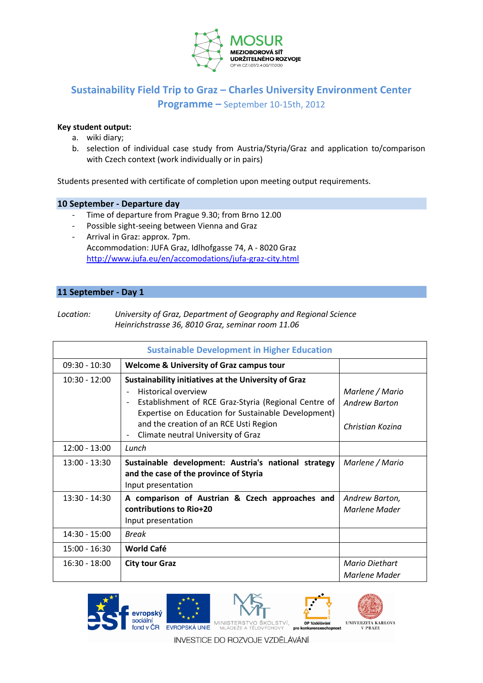

# **Sustainability Field Trip to Graz – Charles University Environment Center Programme –** September 10-15th, 2012

#### **Key student output:**

- a. wiki diary;
- b. selection of individual case study from Austria/Styria/Graz and application to/comparison with Czech context (work individually or in pairs)

Students presented with certificate of completion upon meeting output requirements.

#### **10 September - Departure day**

- Time of departure from Prague 9.30; from Brno 12.00
- Possible sight-seeing between Vienna and Graz
- Arrival in Graz: approx. 7pm. Accommodation: JUFA Graz, Idlhofgasse 74, A - 8020 Graz <http://www.jufa.eu/en/accomodations/jufa-graz-city.html>

### **11 September - Day 1**

| Location: | University of Graz, Department of Geography and Regional Science |
|-----------|------------------------------------------------------------------|
|           | Heinrichstrasse 36, 8010 Graz, seminar room 11.06                |

| <b>Sustainable Development in Higher Education</b>                     |                                                                                                                                                                                                                                      |                                                             |
|------------------------------------------------------------------------|--------------------------------------------------------------------------------------------------------------------------------------------------------------------------------------------------------------------------------------|-------------------------------------------------------------|
| $09:30 - 10:30$<br><b>Welcome &amp; University of Graz campus tour</b> |                                                                                                                                                                                                                                      |                                                             |
| $10:30 - 12:00$                                                        | Sustainability initiatives at the University of Graz<br>Historical overview<br>Establishment of RCE Graz-Styria (Regional Centre of<br>Expertise on Education for Sustainable Development)<br>and the creation of an RCE Usti Region | Marlene / Mario<br><b>Andrew Barton</b><br>Christian Kozina |
| $12:00 - 13:00$                                                        | Climate neutral University of Graz<br>Lunch                                                                                                                                                                                          |                                                             |
| $13:00 - 13:30$                                                        | Sustainable development: Austria's national strategy<br>and the case of the province of Styria<br>Input presentation                                                                                                                 | Marlene / Mario                                             |
| $13:30 - 14:30$                                                        | A comparison of Austrian & Czech approaches and<br>contributions to Rio+20<br>Input presentation                                                                                                                                     | Andrew Barton,<br>Marlene Mader                             |
| 14:30 - 15:00                                                          | Break                                                                                                                                                                                                                                |                                                             |
| $15:00 - 16:30$                                                        | <b>World Café</b>                                                                                                                                                                                                                    |                                                             |
| $16:30 - 18:00$                                                        | <b>City tour Graz</b>                                                                                                                                                                                                                | Mario Diethart<br>Marlene Mader                             |



INVESTICE DO ROZVOJE VZDĚLÁVÁNÍ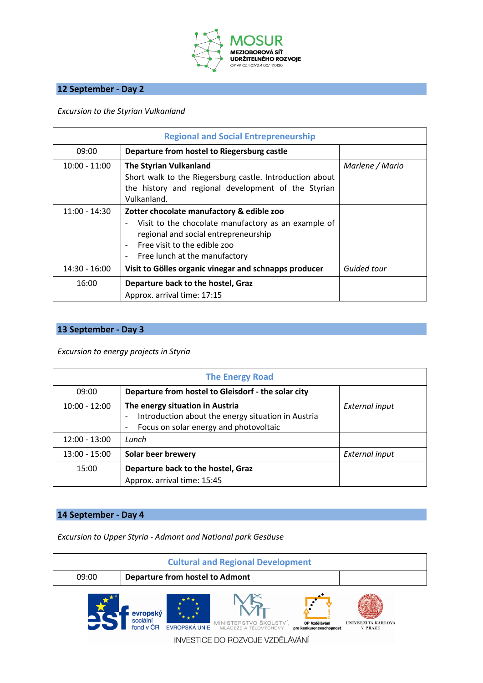

## **12 September - Day 2**

*Excursion to the Styrian Vulkanland*

| <b>Regional and Social Entrepreneurship</b> |                                                                                                                                                                                                           |                 |
|---------------------------------------------|-----------------------------------------------------------------------------------------------------------------------------------------------------------------------------------------------------------|-----------------|
| 09:00                                       | Departure from hostel to Riegersburg castle                                                                                                                                                               |                 |
| $10:00 - 11:00$                             | <b>The Styrian Vulkanland</b><br>Short walk to the Riegersburg castle. Introduction about<br>the history and regional development of the Styrian<br>Vulkanland.                                           | Marlene / Mario |
| $11:00 - 14:30$                             | Zotter chocolate manufactory & edible zoo<br>Visit to the chocolate manufactory as an example of<br>regional and social entrepreneurship<br>Free visit to the edible zoo<br>Free lunch at the manufactory |                 |
| $14:30 - 16:00$                             | Visit to Gölles organic vinegar and schnapps producer                                                                                                                                                     | Guided tour     |
| 16:00                                       | Departure back to the hostel, Graz<br>Approx. arrival time: 17:15                                                                                                                                         |                 |

### **13 September - Day 3**

*Excursion to energy projects in Styria*

| <b>The Energy Road</b> |                                                                                                                                                      |                       |
|------------------------|------------------------------------------------------------------------------------------------------------------------------------------------------|-----------------------|
| 09:00                  | Departure from hostel to Gleisdorf - the solar city                                                                                                  |                       |
| $10:00 - 12:00$        | The energy situation in Austria<br>Introduction about the energy situation in Austria<br>$\qquad \qquad -$<br>Focus on solar energy and photovoltaic | External input        |
| $12:00 - 13:00$        | Lunch                                                                                                                                                |                       |
| $13:00 - 15:00$        | Solar beer brewery                                                                                                                                   | <b>External input</b> |
| 15:00                  | Departure back to the hostel, Graz<br>Approx. arrival time: 15:45                                                                                    |                       |

### **14 September - Day 4**

*Excursion to Upper Styria - Admont and National park Gesäuse*

| <b>Cultural and Regional Development</b> |                                                           |                                                                                                                                     |                                             |
|------------------------------------------|-----------------------------------------------------------|-------------------------------------------------------------------------------------------------------------------------------------|---------------------------------------------|
| 09:00                                    | <b>Departure from hostel to Admont</b>                    |                                                                                                                                     |                                             |
|                                          | evropský<br>sociální<br>fond v ČR<br><b>EVROPSKÁ UNIE</b> | MINISTERSTVO ŠKOLSTVÍ,<br>OP Vzdělávání<br>MLÁDEŽE A TĚLOVÝCHOVY<br>pro konkurenceschopnost<br>IN IL IERTIRE DO DOZVO IE VZDĚLÁVÁNÍ | <b>UNIVERZITA KARLOVA</b><br><b>V PRAZE</b> |

INVESTICE DO ROZVOJE VZDELAVANI